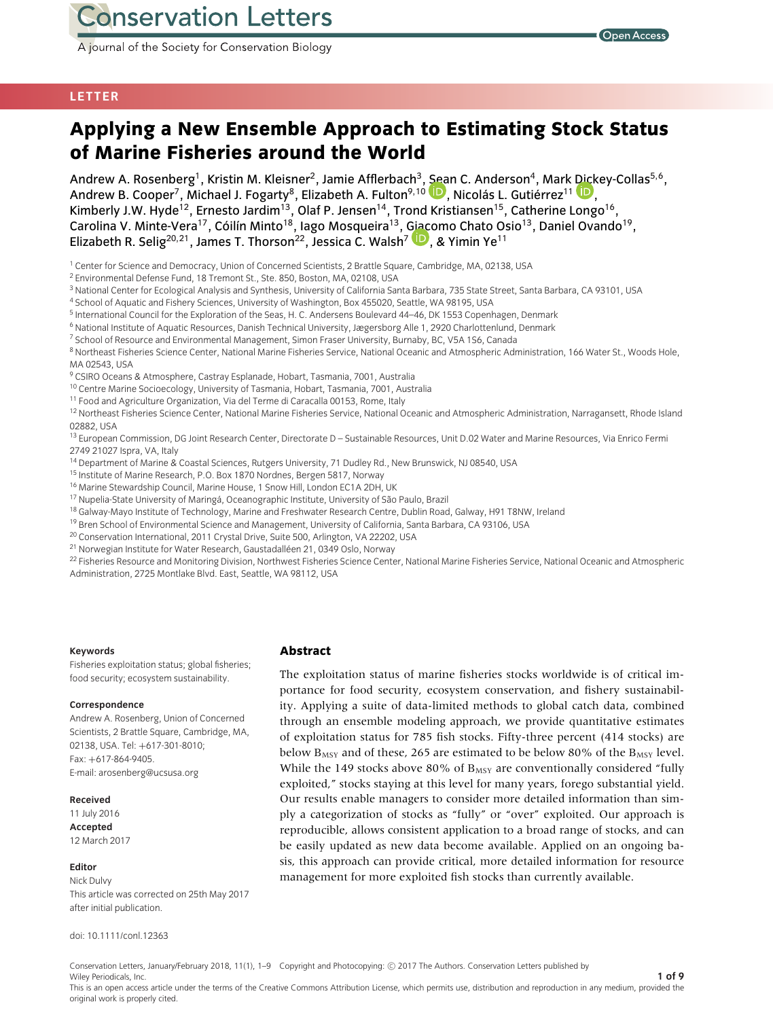A journal of the Society for Conservation Biology

# **LETTER**

# **Applying a New Ensemble Approach to Estimating Stock Status of Marine Fisheries around the World**

Andrew A. Rosenberg<sup>1</sup>, Kristin M. Kleisner<sup>2</sup>, Jamie Afflerbach<sup>3</sup>, Sean C. Anderson<sup>4</sup>, Mark Dickey-Collas<sup>5,6</sup>, Andrew B. Cooper<sup>7</sup>[,](http://orcid.org/0000-0002-4637-4695) Michael J. Fogarty<sup>8</sup>, Elizabeth A. Fulton<sup>9,10</sup> D, Nicolás L. Gutiérrez<sup>11</sup> D. Kimberly J.W. Hyde<sup>12</sup>, Ernesto Jardim<sup>13</sup>, Olaf P. Jensen<sup>14</sup>, Trond Kristiansen<sup>15</sup>, Catherine Longo<sup>16</sup>, Carolina V. Minte-Vera<sup>17</sup>, Cóilín Minto<sup>18</sup>, Iago Mosqueira<sup>13</sup>, Giacomo Chato Osio<sup>13</sup>, Daniel Ovando<sup>19</sup>, Elizabeth R. Selig<sup>20[,](http://orcid.org/0000-0002-5284-4323)21</sup>, James T. Thorson<sup>22</sup>, Jessica C. Walsh<sup>7</sup> <sup>1</sup>, & Yimin Ye<sup>11</sup>

<sup>1</sup> Center for Science and Democracy, Union of Concerned Scientists, 2 Brattle Square, Cambridge, MA, 02138, USA

<sup>2</sup> Environmental Defense Fund, 18 Tremont St., Ste. 850, Boston, MA, 02108, USA

<sup>3</sup> National Center for Ecological Analysis and Synthesis, University of California Santa Barbara, 735 State Street, Santa Barbara, CA 93101, USA

<sup>4</sup> School of Aquatic and Fishery Sciences, University of Washington, Box 455020, Seattle, WA 98195, USA

<sup>5</sup> International Council for the Exploration of the Seas, H. C. Andersens Boulevard 44-46, DK 1553 Copenhagen, Denmark

<sup>6</sup> National Institute of Aquatic Resources, Danish Technical University, Jægersborg Alle 1, 2920 Charlottenlund, Denmark

<sup>7</sup> School of Resource and Environmental Management, Simon Fraser University, Burnaby, BC, V5A 156, Canada

<sup>8</sup> Northeast Fisheries Science Center, National Marine Fisheries Service, National Oceanic and Atmospheric Administration, 166 Water St., Woods Hole, MA 02543, USA

<sup>9</sup> CSIRO Oceans & Atmosphere, Castray Esplanade, Hobart, Tasmania, 7001, Australia

<sup>10</sup> Centre Marine Socioecology, University of Tasmania, Hobart, Tasmania, 7001, Australia

<sup>11</sup> Food and Agriculture Organization, Via del Terme di Caracalla 00153, Rome, Italy

<sup>12</sup> Northeast Fisheries Science Center, National Marine Fisheries Service, National Oceanic and Atmospheric Administration, Narragansett, Rhode Island 02882, USA

<sup>13</sup> European Commission, DG Joint Research Center, Directorate D - Sustainable Resources, Unit D.02 Water and Marine Resources, Via Enrico Fermi 2749 21027 Ispra, VA, Italy

- <sup>14</sup> Department of Marine & Coastal Sciences, Rutgers University, 71 Dudley Rd., New Brunswick, NJ 08540, USA
- <sup>15</sup> Institute of Marine Research, P.O. Box 1870 Nordnes, Bergen 5817, Norway
- <sup>16</sup> Marine Stewardship Council, Marine House, 1 Snow Hill, London EC1A 2DH, UK
- 17 Nupelia-State University of Maringá, Oceanographic Institute, University of São Paulo, Brazil
- <sup>18</sup> Galway-Mayo Institute of Technology, Marine and Freshwater Research Centre, Dublin Road, Galway, H91 T8NW, Ireland
- <sup>19</sup> Bren School of Environmental Science and Management, University of California, Santa Barbara, CA 93106, USA
- <sup>20</sup> Conservation International, 2011 Crystal Drive, Suite 500, Arlington, VA 22202, USA
- <sup>21</sup> Norwegian Institute for Water Research, Gaustadalléen 21, 0349 Oslo, Norway

<sup>22</sup> Fisheries Resource and Monitoring Division, Northwest Fisheries Science Center, National Marine Fisheries Service, National Oceanic and Atmospheric Administration, 2725 Montlake Blvd. East, Seattle, WA 98112, USA

#### **Keywords**

Fisheries exploitation status; global fisheries; food security; ecosystem sustainability.

#### **Correspondence**

Andrew A. Rosenberg, Union of Concerned Scientists, 2 Brattle Square, Cambridge, MA, 02138, USA. Tel: +617-301-8010; Fax: +617-864-9405. E-mail: arosenberg@ucsusa.org

#### **Received**

11 July 2016 **Accepted** 12 March 2017

#### **Editor**

Nick Dulvy This article was corrected on 25th May 2017 after initial publication.

doi: 10.1111/conl.12363

#### **Abstract**

The exploitation status of marine fisheries stocks worldwide is of critical importance for food security, ecosystem conservation, and fishery sustainability. Applying a suite of data-limited methods to global catch data, combined through an ensemble modeling approach, we provide quantitative estimates of exploitation status for 785 fish stocks. Fifty-three percent (414 stocks) are below  $B_{MSY}$  and of these, 265 are estimated to be below 80% of the  $B_{MSY}$  level. While the 149 stocks above 80% of  $B_{MSY}$  are conventionally considered "fully exploited," stocks staying at this level for many years, forego substantial yield. Our results enable managers to consider more detailed information than simply a categorization of stocks as "fully" or "over" exploited. Our approach is reproducible, allows consistent application to a broad range of stocks, and can be easily updated as new data become available. Applied on an ongoing basis, this approach can provide critical, more detailed information for resource management for more exploited fish stocks than currently available.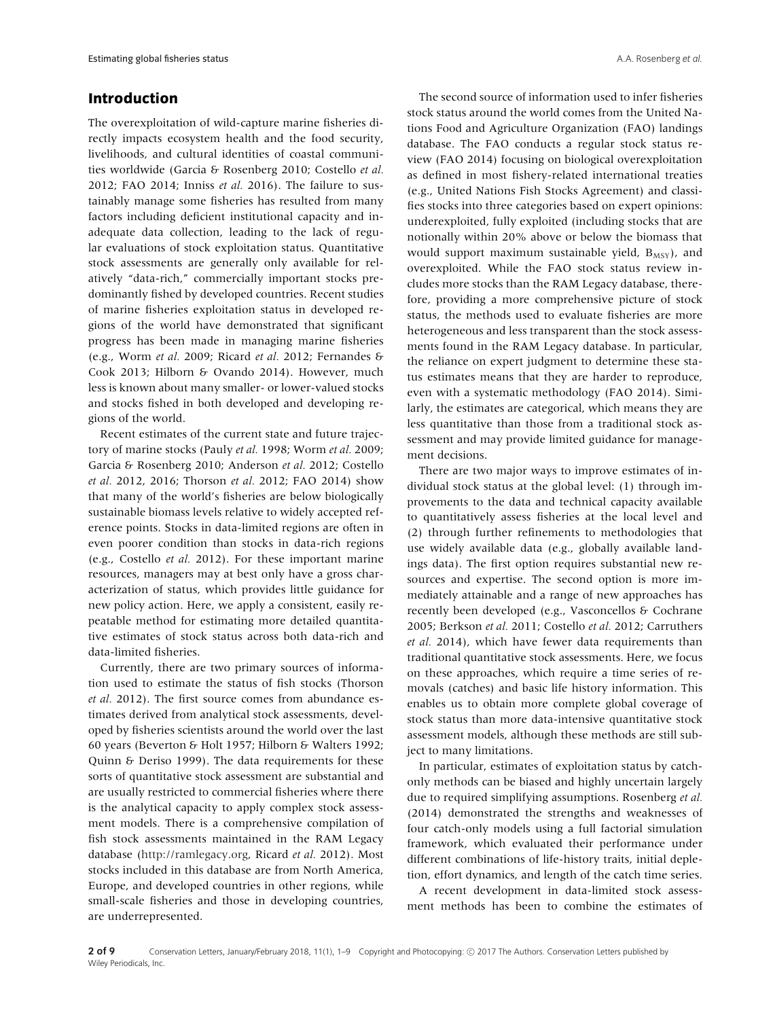# **Introduction**

The overexploitation of wild-capture marine fisheries directly impacts ecosystem health and the food security, livelihoods, and cultural identities of coastal communities worldwide (Garcia & Rosenberg 2010; Costello *et al.* 2012; FAO 2014; Inniss *et al.* 2016). The failure to sustainably manage some fisheries has resulted from many factors including deficient institutional capacity and inadequate data collection, leading to the lack of regular evaluations of stock exploitation status. Quantitative stock assessments are generally only available for relatively "data-rich," commercially important stocks predominantly fished by developed countries. Recent studies of marine fisheries exploitation status in developed regions of the world have demonstrated that significant progress has been made in managing marine fisheries (e.g., Worm *et al.* 2009; Ricard *et al.* 2012; Fernandes & Cook 2013; Hilborn & Ovando 2014). However, much less is known about many smaller- or lower-valued stocks and stocks fished in both developed and developing regions of the world.

Recent estimates of the current state and future trajectory of marine stocks (Pauly *et al.* 1998; Worm *et al.* 2009; Garcia & Rosenberg 2010; Anderson *et al.* 2012; Costello *et al.* 2012, 2016; Thorson *et al.* 2012; FAO 2014) show that many of the world's fisheries are below biologically sustainable biomass levels relative to widely accepted reference points. Stocks in data-limited regions are often in even poorer condition than stocks in data-rich regions (e.g., Costello *et al.* 2012). For these important marine resources, managers may at best only have a gross characterization of status, which provides little guidance for new policy action. Here, we apply a consistent, easily repeatable method for estimating more detailed quantitative estimates of stock status across both data-rich and data-limited fisheries.

Currently, there are two primary sources of information used to estimate the status of fish stocks (Thorson *et al.* 2012). The first source comes from abundance estimates derived from analytical stock assessments, developed by fisheries scientists around the world over the last 60 years (Beverton & Holt 1957; Hilborn & Walters 1992; Quinn & Deriso 1999). The data requirements for these sorts of quantitative stock assessment are substantial and are usually restricted to commercial fisheries where there is the analytical capacity to apply complex stock assessment models. There is a comprehensive compilation of fish stock assessments maintained in the RAM Legacy database [\(http://ramlegacy.org,](http://ramlegacy.org) Ricard *et al.* 2012). Most stocks included in this database are from North America, Europe, and developed countries in other regions, while small-scale fisheries and those in developing countries, are underrepresented.

The second source of information used to infer fisheries stock status around the world comes from the United Nations Food and Agriculture Organization (FAO) landings database. The FAO conducts a regular stock status review (FAO 2014) focusing on biological overexploitation as defined in most fishery-related international treaties (e.g., United Nations Fish Stocks Agreement) and classifies stocks into three categories based on expert opinions: underexploited, fully exploited (including stocks that are notionally within 20% above or below the biomass that would support maximum sustainable yield,  $B_{MSY}$ ), and overexploited. While the FAO stock status review includes more stocks than the RAM Legacy database, therefore, providing a more comprehensive picture of stock status, the methods used to evaluate fisheries are more heterogeneous and less transparent than the stock assessments found in the RAM Legacy database. In particular, the reliance on expert judgment to determine these status estimates means that they are harder to reproduce, even with a systematic methodology (FAO 2014). Similarly, the estimates are categorical, which means they are less quantitative than those from a traditional stock assessment and may provide limited guidance for management decisions.

There are two major ways to improve estimates of individual stock status at the global level: (1) through improvements to the data and technical capacity available to quantitatively assess fisheries at the local level and (2) through further refinements to methodologies that use widely available data (e.g., globally available landings data). The first option requires substantial new resources and expertise. The second option is more immediately attainable and a range of new approaches has recently been developed (e.g., Vasconcellos & Cochrane 2005; Berkson *et al.* 2011; Costello *et al.* 2012; Carruthers *et al.* 2014), which have fewer data requirements than traditional quantitative stock assessments. Here, we focus on these approaches, which require a time series of removals (catches) and basic life history information. This enables us to obtain more complete global coverage of stock status than more data-intensive quantitative stock assessment models, although these methods are still subject to many limitations.

In particular, estimates of exploitation status by catchonly methods can be biased and highly uncertain largely due to required simplifying assumptions. Rosenberg *et al.* (2014) demonstrated the strengths and weaknesses of four catch-only models using a full factorial simulation framework, which evaluated their performance under different combinations of life-history traits, initial depletion, effort dynamics, and length of the catch time series.

A recent development in data-limited stock assessment methods has been to combine the estimates of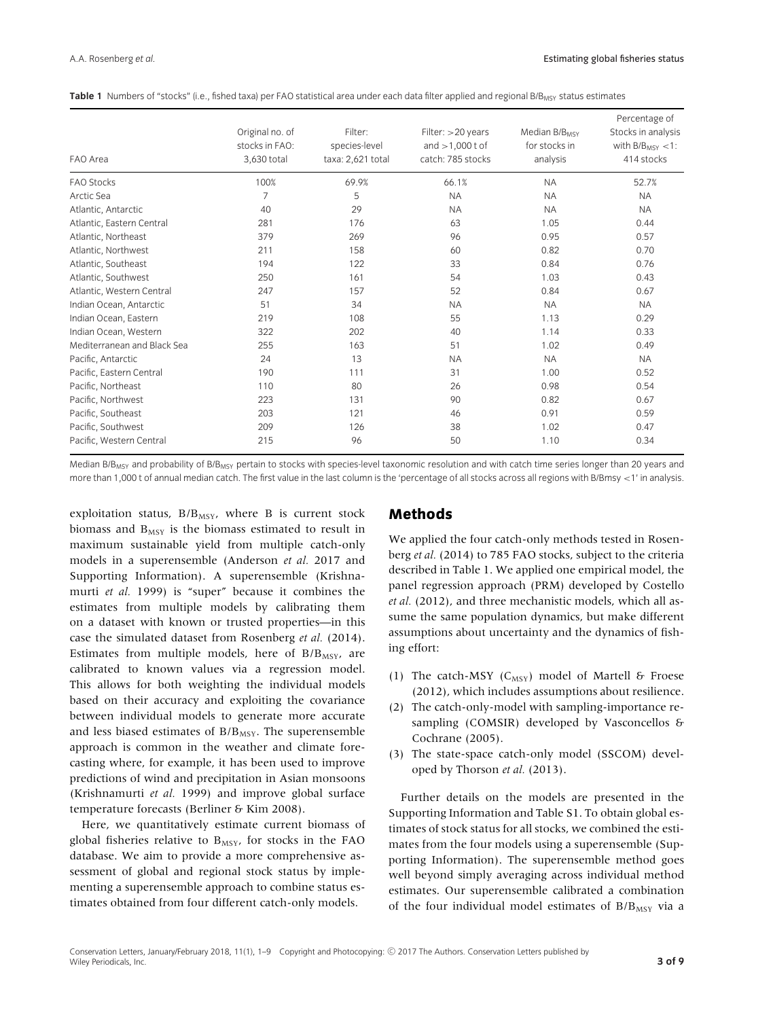| FAO Area                    | Original no. of<br>stocks in FAO:<br>3,630 total | Filter:<br>species-level<br>taxa: 2,621 total | Filter: >20 years<br>and $>1,000$ t of<br>catch: 785 stocks | Median B/B <sub>MSY</sub><br>for stocks in<br>analysis | Percentage of<br>Stocks in analysis<br>with $B/B_{MSY} < 1$ :<br>414 stocks |
|-----------------------------|--------------------------------------------------|-----------------------------------------------|-------------------------------------------------------------|--------------------------------------------------------|-----------------------------------------------------------------------------|
| <b>FAO Stocks</b>           | 100%                                             | 69.9%                                         | 66.1%                                                       | <b>NA</b>                                              | 52.7%                                                                       |
| Arctic Sea                  | 7                                                | 5                                             | <b>NA</b>                                                   | <b>NA</b>                                              | <b>NA</b>                                                                   |
| Atlantic, Antarctic         | 40                                               | 29                                            | <b>NA</b>                                                   | <b>NA</b>                                              | <b>NA</b>                                                                   |
| Atlantic, Eastern Central   | 281                                              | 176                                           | 63                                                          | 1.05                                                   | 0.44                                                                        |
| Atlantic, Northeast         | 379                                              | 269                                           | 96                                                          | 0.95                                                   | 0.57                                                                        |
| Atlantic, Northwest         | 211                                              | 158                                           | 60                                                          | 0.82                                                   | 0.70                                                                        |
| Atlantic, Southeast         | 194                                              | 122                                           | 33                                                          | 0.84                                                   | 0.76                                                                        |
| Atlantic, Southwest         | 250                                              | 161                                           | 54                                                          | 1.03                                                   | 0.43                                                                        |
| Atlantic, Western Central   | 247                                              | 157                                           | 52                                                          | 0.84                                                   | 0.67                                                                        |
| Indian Ocean, Antarctic     | 51                                               | 34                                            | <b>NA</b>                                                   | <b>NA</b>                                              | <b>NA</b>                                                                   |
| Indian Ocean, Eastern       | 219                                              | 108                                           | 55                                                          | 1.13                                                   | 0.29                                                                        |
| Indian Ocean, Western       | 322                                              | 202                                           | 40                                                          | 1.14                                                   | 0.33                                                                        |
| Mediterranean and Black Sea | 255                                              | 163                                           | 51                                                          | 1.02                                                   | 0.49                                                                        |
| Pacific, Antarctic          | 24                                               | 13                                            | <b>NA</b>                                                   | <b>NA</b>                                              | <b>NA</b>                                                                   |
| Pacific, Eastern Central    | 190                                              | 111                                           | 31                                                          | 1.00                                                   | 0.52                                                                        |
| Pacific, Northeast          | 110                                              | 80                                            | 26                                                          | 0.98                                                   | 0.54                                                                        |
| Pacific, Northwest          | 223                                              | 131                                           | 90                                                          | 0.82                                                   | 0.67                                                                        |
| Pacific, Southeast          | 203                                              | 121                                           | 46                                                          | 0.91                                                   | 0.59                                                                        |
| Pacific, Southwest          | 209                                              | 126                                           | 38                                                          | 1.02                                                   | 0.47                                                                        |
| Pacific, Western Central    | 215                                              | 96                                            | 50                                                          | 1.10                                                   | 0.34                                                                        |

Table 1 Numbers of "stocks" (i.e., fished taxa) per FAO statistical area under each data filter applied and regional B/B<sub>MSY</sub> status estimates

Median B/B<sub>MSY</sub> and probability of B/B<sub>MSY</sub> pertain to stocks with species-level taxonomic resolution and with catch time series longer than 20 years and more than 1,000 t of annual median catch. The first value in the last column is the 'percentage of all stocks across all regions with B/Bmsy *<*1' in analysis.

exploitation status,  $B/B_{MSY}$ , where B is current stock biomass and  $B_{MSY}$  is the biomass estimated to result in maximum sustainable yield from multiple catch-only models in a superensemble (Anderson *et al.* 2017 and Supporting Information). A superensemble (Krishnamurti *et al.* 1999) is "super" because it combines the estimates from multiple models by calibrating them on a dataset with known or trusted properties—in this case the simulated dataset from Rosenberg *et al.* (2014). Estimates from multiple models, here of  $B/B<sub>MSY</sub>$ , are calibrated to known values via a regression model. This allows for both weighting the individual models based on their accuracy and exploiting the covariance between individual models to generate more accurate and less biased estimates of B/B<sub>MSY</sub>. The superensemble approach is common in the weather and climate forecasting where, for example, it has been used to improve predictions of wind and precipitation in Asian monsoons (Krishnamurti *et al.* 1999) and improve global surface temperature forecasts (Berliner & Kim 2008).

Here, we quantitatively estimate current biomass of global fisheries relative to B<sub>MSY</sub>, for stocks in the FAO database. We aim to provide a more comprehensive assessment of global and regional stock status by implementing a superensemble approach to combine status estimates obtained from four different catch-only models.

## **Methods**

We applied the four catch-only methods tested in Rosenberg *et al.* (2014) to 785 FAO stocks, subject to the criteria described in Table 1. We applied one empirical model, the panel regression approach (PRM) developed by Costello *et al.* (2012), and three mechanistic models, which all assume the same population dynamics, but make different assumptions about uncertainty and the dynamics of fishing effort:

- (1) The catch-MSY ( $C_{MSY}$ ) model of Martell & Froese (2012), which includes assumptions about resilience.
- (2) The catch-only-model with sampling-importance resampling (COMSIR) developed by Vasconcellos & Cochrane (2005).
- (3) The state-space catch-only model (SSCOM) developed by Thorson *et al.* (2013).

Further details on the models are presented in the Supporting Information and Table S1. To obtain global estimates of stock status for all stocks, we combined the estimates from the four models using a superensemble (Supporting Information). The superensemble method goes well beyond simply averaging across individual method estimates. Our superensemble calibrated a combination of the four individual model estimates of  $B/B_{MSY}$  via a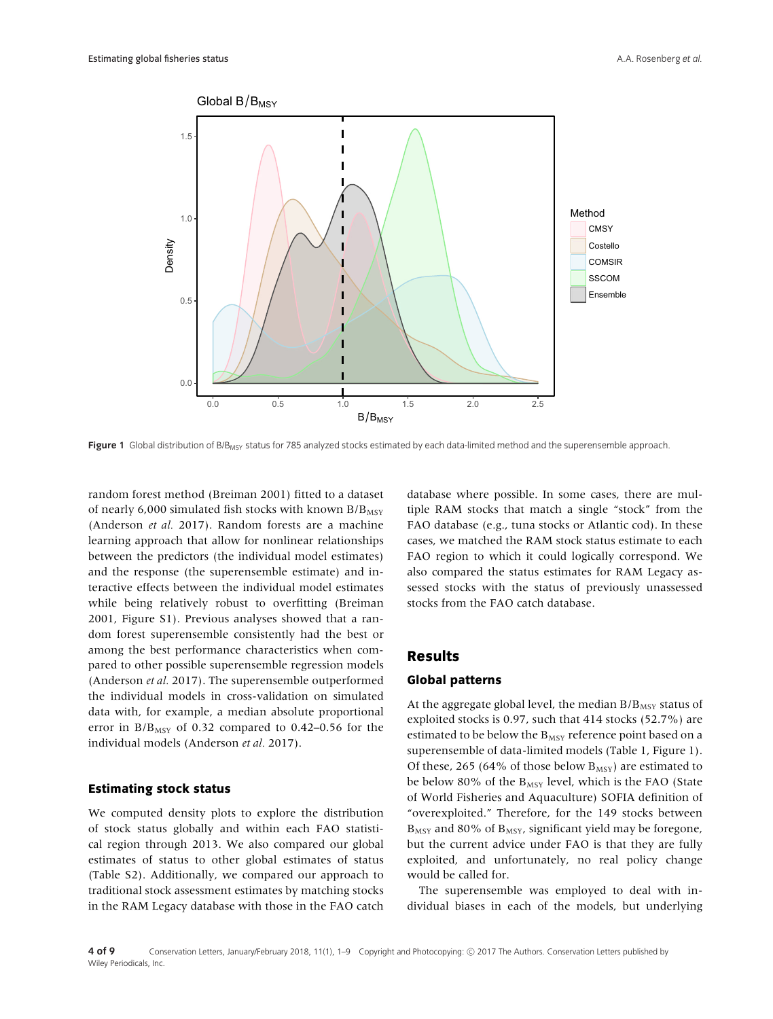

Figure 1 Global distribution of B/B<sub>MSY</sub> status for 785 analyzed stocks estimated by each data-limited method and the superensemble approach.

random forest method (Breiman 2001) fitted to a dataset of nearly 6,000 simulated fish stocks with known  $B/B<sub>MSY</sub>$ (Anderson *et al.* 2017). Random forests are a machine learning approach that allow for nonlinear relationships between the predictors (the individual model estimates) and the response (the superensemble estimate) and interactive effects between the individual model estimates while being relatively robust to overfitting (Breiman 2001, Figure S1). Previous analyses showed that a random forest superensemble consistently had the best or among the best performance characteristics when compared to other possible superensemble regression models (Anderson *et al.* 2017). The superensemble outperformed the individual models in cross-validation on simulated data with, for example, a median absolute proportional error in  $B/B<sub>MSY</sub>$  of 0.32 compared to 0.42–0.56 for the individual models (Anderson *et al.* 2017).

## **Estimating stock status**

We computed density plots to explore the distribution of stock status globally and within each FAO statistical region through 2013. We also compared our global estimates of status to other global estimates of status (Table S2). Additionally, we compared our approach to traditional stock assessment estimates by matching stocks in the RAM Legacy database with those in the FAO catch database where possible. In some cases, there are multiple RAM stocks that match a single "stock" from the FAO database (e.g., tuna stocks or Atlantic cod). In these cases, we matched the RAM stock status estimate to each FAO region to which it could logically correspond. We also compared the status estimates for RAM Legacy assessed stocks with the status of previously unassessed stocks from the FAO catch database.

## **Results**

#### **Global patterns**

At the aggregate global level, the median  $B/B<sub>MSY</sub>$  status of exploited stocks is 0.97, such that 414 stocks (52.7%) are estimated to be below the  $\rm B_{MSY}$  reference point based on a superensemble of data-limited models (Table 1, Figure 1). Of these, 265 (64% of those below  $B_{MSY}$ ) are estimated to be below 80% of the  $B_{MSY}$  level, which is the FAO (State of World Fisheries and Aquaculture) SOFIA definition of "overexploited." Therefore, for the 149 stocks between  $B_{MSY}$  and 80% of  $B_{MSY}$ , significant yield may be foregone, but the current advice under FAO is that they are fully exploited, and unfortunately, no real policy change would be called for.

The superensemble was employed to deal with individual biases in each of the models, but underlying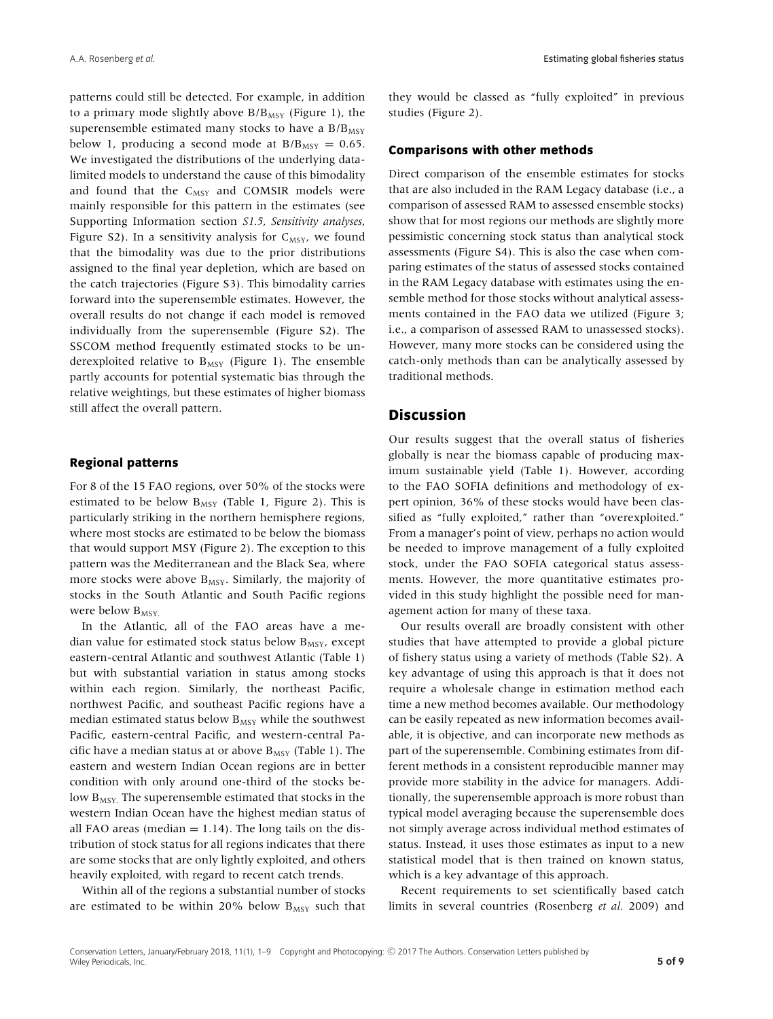patterns could still be detected. For example, in addition to a primary mode slightly above  $B/B_{MSY}$  (Figure 1), the superensemble estimated many stocks to have a  $B/B<sub>MSY</sub>$ below 1, producing a second mode at  $B/B<sub>MSY</sub> = 0.65$ . We investigated the distributions of the underlying datalimited models to understand the cause of this bimodality and found that the  $C_{MSY}$  and COMSIR models were mainly responsible for this pattern in the estimates (see Supporting Information section *S1.5, Sensitivity analyses*, Figure S2). In a sensitivity analysis for  $C_{MSY}$ , we found that the bimodality was due to the prior distributions assigned to the final year depletion, which are based on the catch trajectories (Figure S3). This bimodality carries forward into the superensemble estimates. However, the overall results do not change if each model is removed individually from the superensemble (Figure S2). The SSCOM method frequently estimated stocks to be underexploited relative to  $B_{MSY}$  (Figure 1). The ensemble partly accounts for potential systematic bias through the relative weightings, but these estimates of higher biomass still affect the overall pattern.

#### **Regional patterns**

For 8 of the 15 FAO regions, over 50% of the stocks were estimated to be below  $B_{MSY}$  (Table 1, Figure 2). This is particularly striking in the northern hemisphere regions, where most stocks are estimated to be below the biomass that would support MSY (Figure 2). The exception to this pattern was the Mediterranean and the Black Sea, where more stocks were above  $B_{MSY}$ . Similarly, the majority of stocks in the South Atlantic and South Pacific regions were below  $B_{MSV.}$ 

In the Atlantic, all of the FAO areas have a median value for estimated stock status below  $B_{MSV}$ , except eastern-central Atlantic and southwest Atlantic (Table 1) but with substantial variation in status among stocks within each region. Similarly, the northeast Pacific, northwest Pacific, and southeast Pacific regions have a median estimated status below  $B_{MSV}$  while the southwest Pacific, eastern-central Pacific, and western-central Pacific have a median status at or above  $B_{MSY}$  (Table 1). The eastern and western Indian Ocean regions are in better condition with only around one-third of the stocks below  $B_{MSY}$ . The superensemble estimated that stocks in the western Indian Ocean have the highest median status of all FAO areas (median  $= 1.14$ ). The long tails on the distribution of stock status for all regions indicates that there are some stocks that are only lightly exploited, and others heavily exploited, with regard to recent catch trends.

Within all of the regions a substantial number of stocks are estimated to be within 20% below  $B_{MSY}$  such that they would be classed as "fully exploited" in previous studies (Figure 2).

## **Comparisons with other methods**

Direct comparison of the ensemble estimates for stocks that are also included in the RAM Legacy database (i.e., a comparison of assessed RAM to assessed ensemble stocks) show that for most regions our methods are slightly more pessimistic concerning stock status than analytical stock assessments (Figure S4). This is also the case when comparing estimates of the status of assessed stocks contained in the RAM Legacy database with estimates using the ensemble method for those stocks without analytical assessments contained in the FAO data we utilized (Figure 3; i.e., a comparison of assessed RAM to unassessed stocks). However, many more stocks can be considered using the catch-only methods than can be analytically assessed by traditional methods.

## **Discussion**

Our results suggest that the overall status of fisheries globally is near the biomass capable of producing maximum sustainable yield (Table 1). However, according to the FAO SOFIA definitions and methodology of expert opinion, 36% of these stocks would have been classified as "fully exploited," rather than "overexploited." From a manager's point of view, perhaps no action would be needed to improve management of a fully exploited stock, under the FAO SOFIA categorical status assessments. However, the more quantitative estimates provided in this study highlight the possible need for management action for many of these taxa.

Our results overall are broadly consistent with other studies that have attempted to provide a global picture of fishery status using a variety of methods (Table S2). A key advantage of using this approach is that it does not require a wholesale change in estimation method each time a new method becomes available. Our methodology can be easily repeated as new information becomes available, it is objective, and can incorporate new methods as part of the superensemble. Combining estimates from different methods in a consistent reproducible manner may provide more stability in the advice for managers. Additionally, the superensemble approach is more robust than typical model averaging because the superensemble does not simply average across individual method estimates of status. Instead, it uses those estimates as input to a new statistical model that is then trained on known status, which is a key advantage of this approach.

Recent requirements to set scientifically based catch limits in several countries (Rosenberg *et al.* 2009) and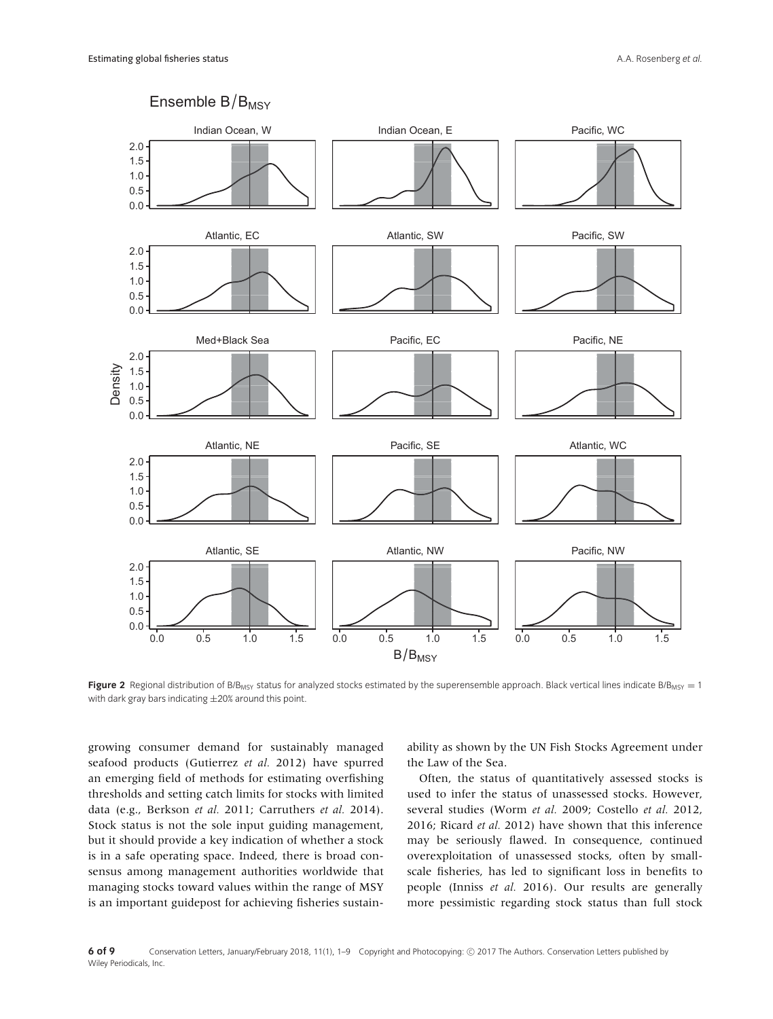

**Figure 2** Regional distribution of B/B<sub>MSY</sub> status for analyzed stocks estimated by the superensemble approach. Black vertical lines indicate B/B<sub>MSY</sub> = 1 with dark gray bars indicating  $\pm 20\%$  around this point.

growing consumer demand for sustainably managed seafood products (Gutierrez *et al.* 2012) have spurred an emerging field of methods for estimating overfishing thresholds and setting catch limits for stocks with limited data (e.g., Berkson *et al.* 2011; Carruthers *et al.* 2014). Stock status is not the sole input guiding management, but it should provide a key indication of whether a stock is in a safe operating space. Indeed, there is broad consensus among management authorities worldwide that managing stocks toward values within the range of MSY is an important guidepost for achieving fisheries sustainability as shown by the UN Fish Stocks Agreement under the Law of the Sea.

Often, the status of quantitatively assessed stocks is used to infer the status of unassessed stocks. However, several studies (Worm *et al.* 2009; Costello *et al.* 2012, 2016; Ricard *et al.* 2012) have shown that this inference may be seriously flawed. In consequence, continued overexploitation of unassessed stocks, often by smallscale fisheries, has led to significant loss in benefits to people (Inniss *et al.* 2016). Our results are generally more pessimistic regarding stock status than full stock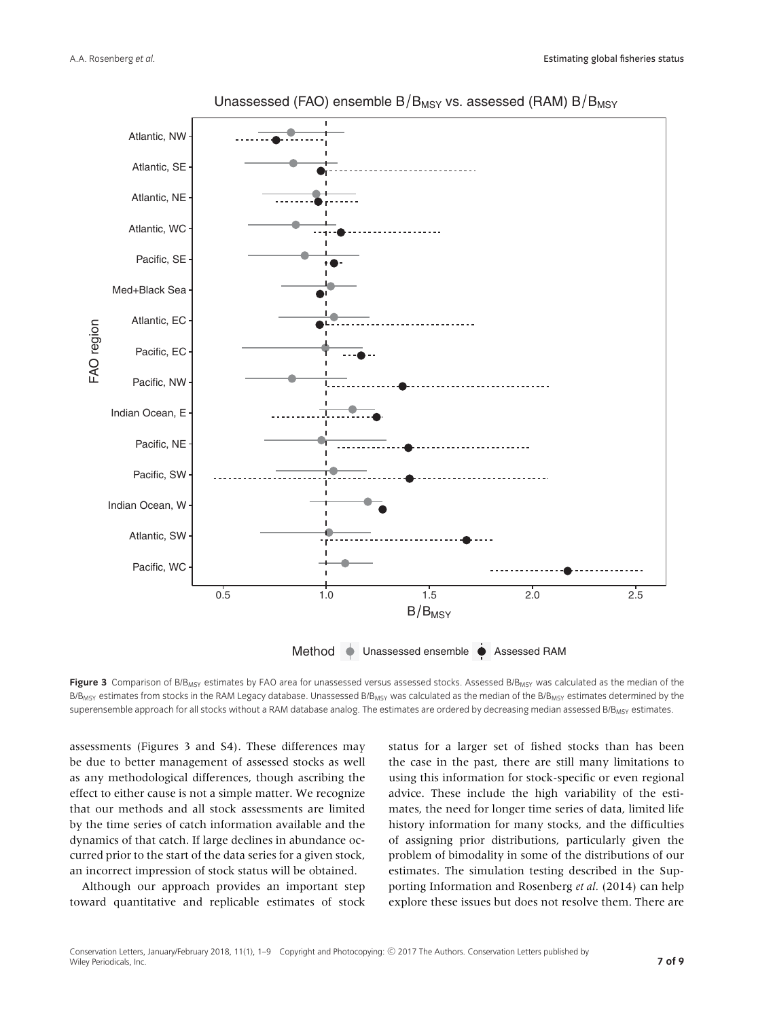

Unassessed (FAO) ensemble  $B/B_{MSY}$  vs. assessed (RAM)  $B/B_{MSY}$ 

Figure 3 Comparison of B/B<sub>MSY</sub> estimates by FAO area for unassessed versus assessed stocks. Assessed B/B<sub>MSY</sub> was calculated as the median of the B/B<sub>MSY</sub> estimates from stocks in the RAM Legacy database. Unassessed B/B<sub>MSY</sub> was calculated as the median of the B/B<sub>MSY</sub> estimates determined by the superensemble approach for all stocks without a RAM database analog. The estimates are ordered by decreasing median assessed B/B<sub>MSY</sub> estimates.

assessments (Figures 3 and S4). These differences may be due to better management of assessed stocks as well as any methodological differences, though ascribing the effect to either cause is not a simple matter. We recognize that our methods and all stock assessments are limited by the time series of catch information available and the dynamics of that catch. If large declines in abundance occurred prior to the start of the data series for a given stock, an incorrect impression of stock status will be obtained.

Although our approach provides an important step toward quantitative and replicable estimates of stock status for a larger set of fished stocks than has been the case in the past, there are still many limitations to using this information for stock-specific or even regional advice. These include the high variability of the estimates, the need for longer time series of data, limited life history information for many stocks, and the difficulties of assigning prior distributions, particularly given the problem of bimodality in some of the distributions of our estimates. The simulation testing described in the Supporting Information and Rosenberg *et al.* (2014) can help explore these issues but does not resolve them. There are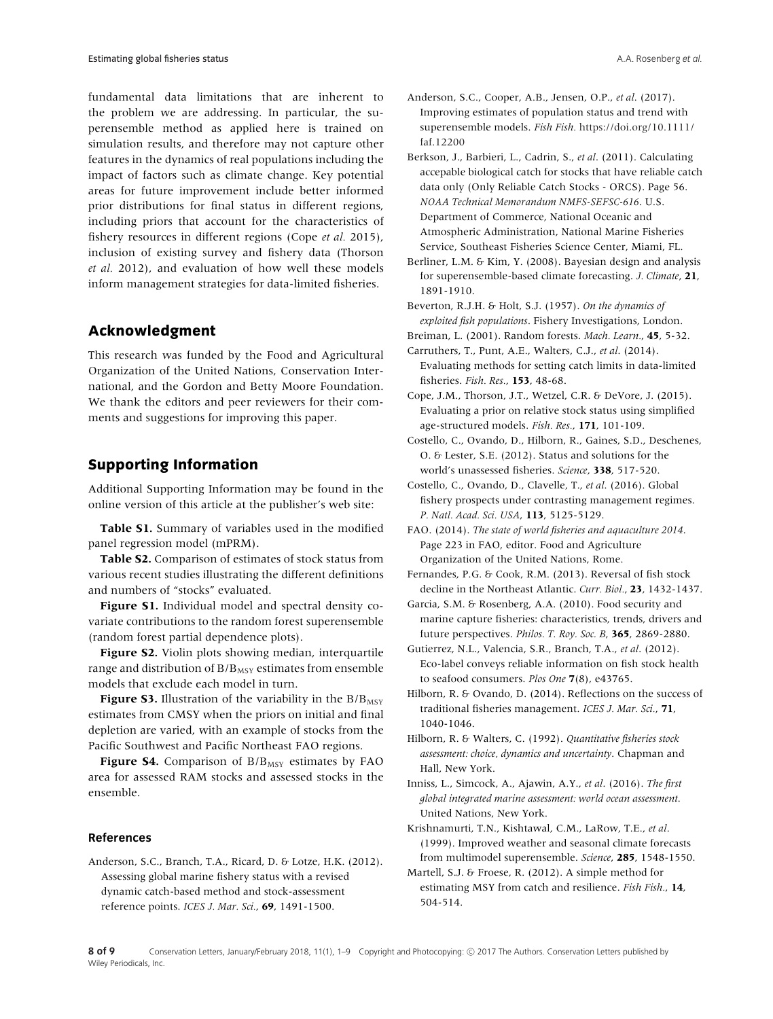fundamental data limitations that are inherent to the problem we are addressing. In particular, the superensemble method as applied here is trained on simulation results, and therefore may not capture other features in the dynamics of real populations including the impact of factors such as climate change. Key potential areas for future improvement include better informed prior distributions for final status in different regions, including priors that account for the characteristics of fishery resources in different regions (Cope *et al.* 2015), inclusion of existing survey and fishery data (Thorson *et al.* 2012), and evaluation of how well these models inform management strategies for data-limited fisheries.

## **Acknowledgment**

This research was funded by the Food and Agricultural Organization of the United Nations, Conservation International, and the Gordon and Betty Moore Foundation. We thank the editors and peer reviewers for their comments and suggestions for improving this paper.

# **Supporting Information**

Additional Supporting Information may be found in the online version of this article at the publisher's web site:

**Table S1.** Summary of variables used in the modified panel regression model (mPRM).

**Table S2.** Comparison of estimates of stock status from various recent studies illustrating the different definitions and numbers of "stocks" evaluated.

**Figure S1.** Individual model and spectral density covariate contributions to the random forest superensemble (random forest partial dependence plots).

**Figure S2.** Violin plots showing median, interquartile range and distribution of  $B/B_{MSY}$  estimates from ensemble models that exclude each model in turn.

**Figure S3.** Illustration of the variability in the  $B/B$ <sub>MSY</sub> estimates from CMSY when the priors on initial and final depletion are varied, with an example of stocks from the Pacific Southwest and Pacific Northeast FAO regions.

Figure S4. Comparison of B/B<sub>MSY</sub> estimates by FAO area for assessed RAM stocks and assessed stocks in the ensemble.

#### **References**

Anderson, S.C., Branch, T.A., Ricard, D. & Lotze, H.K. (2012). Assessing global marine fishery status with a revised dynamic catch-based method and stock-assessment reference points. *ICES J. Mar. Sci.*, **69**, 1491-1500.

Anderson, S.C., Cooper, A.B., Jensen, O.P., *et al*. (2017). Improving estimates of population status and trend with superensemble models. *Fish Fish.* [https://doi.org/10.1111/](https://doi.org/10.1111/faf.12200) faf.12200

Berkson, J., Barbieri, L., Cadrin, S., *et al*. (2011). Calculating accepable biological catch for stocks that have reliable catch data only (Only Reliable Catch Stocks - ORCS). Page 56. *NOAA Technical Memorandum NMFS-SEFSC-616*. U.S. Department of Commerce, National Oceanic and Atmospheric Administration, National Marine Fisheries Service, Southeast Fisheries Science Center, Miami, FL.

Berliner, L.M. & Kim, Y. (2008). Bayesian design and analysis for superensemble-based climate forecasting. *J. Climate*, **21**, 1891-1910.

Beverton, R.J.H. & Holt, S.J. (1957). *On the dynamics of exploited fish populations*. Fishery Investigations, London.

Breiman, L. (2001). Random forests. *Mach. Learn.*, **45**, 5-32. Carruthers, T., Punt, A.E., Walters, C.J., *et al*. (2014). Evaluating methods for setting catch limits in data-limited fisheries. *Fish. Res.*, **153**, 48-68.

Cope, J.M., Thorson, J.T., Wetzel, C.R. & DeVore, J. (2015). Evaluating a prior on relative stock status using simplified age-structured models. *Fish. Res.*, **171**, 101-109.

Costello, C., Ovando, D., Hilborn, R., Gaines, S.D., Deschenes, O. & Lester, S.E. (2012). Status and solutions for the world's unassessed fisheries. *Science*, **338**, 517-520.

Costello, C., Ovando, D., Clavelle, T., *et al*. (2016). Global fishery prospects under contrasting management regimes. *P. Natl. Acad. Sci. USA*, **113**, 5125-5129.

FAO. (2014). *The state of world fisheries and aquaculture 2014*. Page 223 in FAO, editor. Food and Agriculture Organization of the United Nations, Rome.

Fernandes, P.G. & Cook, R.M. (2013). Reversal of fish stock decline in the Northeast Atlantic. *Curr. Biol.*, **23**, 1432-1437.

Garcia, S.M. & Rosenberg, A.A. (2010). Food security and marine capture fisheries: characteristics, trends, drivers and future perspectives. *Philos. T. Roy. Soc. B*, **365**, 2869-2880.

Gutierrez, N.L., Valencia, S.R., Branch, T.A., *et al*. (2012). Eco-label conveys reliable information on fish stock health to seafood consumers. *Plos One* **7**(8), e43765.

Hilborn, R. & Ovando, D. (2014). Reflections on the success of traditional fisheries management. *ICES J. Mar. Sci.*, **71**, 1040-1046.

Hilborn, R. & Walters, C. (1992). *Quantitative fisheries stock assessment: choice, dynamics and uncertainty*. Chapman and Hall, New York.

Inniss, L., Simcock, A., Ajawin, A.Y., *et al*. (2016). *The first global integrated marine assessment: world ocean assessment*. United Nations, New York.

Krishnamurti, T.N., Kishtawal, C.M., LaRow, T.E., *et al*. (1999). Improved weather and seasonal climate forecasts from multimodel superensemble. *Science*, **285**, 1548-1550.

Martell, S.J. & Froese, R. (2012). A simple method for estimating MSY from catch and resilience. *Fish Fish.*, **14**, 504-514.

8 of 9 Conservation Letters, January/February 2018, 11(1), 1–9 Copyright and Photocopying: © 2017 The Authors. Conservation Letters published by Wiley Periodicals, Inc.